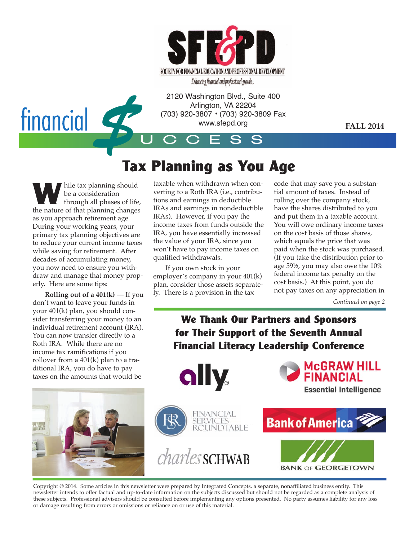

U C C E S S Arlington, VA 22204 (703) 920-3807 • (703) 920-3809 Fax www.sfepd.org

**FALL 2014**

# **Tax Planning as You Age**

**W** hile tax planning should<br>through all phases of life, be a consideration the nature of that planning changes as you approach retirement age. During your working years, your primary tax planning objectives are to reduce your current income taxes while saving for retirement. After decades of accumulating money, you now need to ensure you withdraw and manage that money properly. Here are some tips:

financial

\$

**Rolling out of a 401(k)** — If you don't want to leave your funds in your 401(k) plan, you should consider transferring your money to an individual retirement account (IRA). You can now transfer directly to a Roth IRA. While there are no income tax ramifications if you rollover from a  $401(k)$  plan to a traditional IRA, you do have to pay taxes on the amounts that would be



taxable when withdrawn when converting to a Roth IRA (i.e., contributions and earnings in deductible IRAs and earnings in nondeductible IRAs). However, if you pay the income taxes from funds outside the IRA, you have essentially increased the value of your IRA, since you won't have to pay income taxes on qualified withdrawals. **y:** 2120 Washington Blvd., Suite 400

If you own stock in your employer's company in your 401(k) plan, consider those assets separately. There is a provision in the tax

code that may save you a substantial amount of taxes. Instead of rolling over the company stock, have the shares distributed to you and put them in a taxable account. You will owe ordinary income taxes on the cost basis of those shares, which equals the price that was paid when the stock was purchased. (If you take the distribution prior to  $\frac{1}{2}$  age 59<sup>1</sup>/<sub>2</sub>, you may also owe the 10% federal income tax penalty on the cost basis.) At this point, you do not pay taxes on any appreciation in

*Continued on page 2*

#### **We Thank Our Partners and Sponsors for Their Support of the Seventh Annual Financial Literacy Leadership Conference**



Copyright © 2014. Some articles in this newsletter were prepared by Integrated Concepts, a separate, nonaffiliated business entity. This newsletter intends to offer factual and up-to-date information on the subjects discussed but should not be regarded as a complete analysis of these subjects. Professional advisers should be consulted before implementing any options presented. No party assumes liability for any loss or damage resulting from errors or omissions or reliance on or use of this material. d<br>
vsle<br>
b-da<br>
be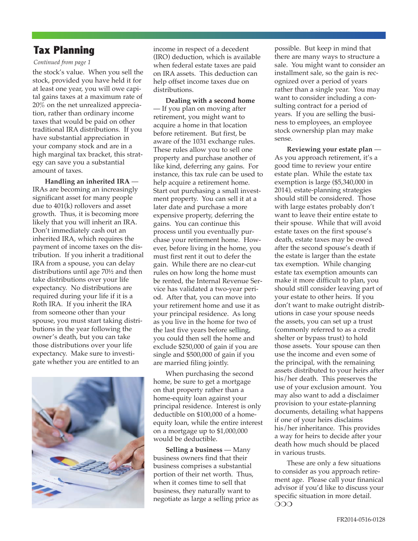#### **Tax Planning**

#### *Continued from page 1*

the stock's value. When you sell the stock, provided you have held it for at least one year, you will owe capital gains taxes at a maximum rate of 20% on the net unrealized appreciation, rather than ordinary income taxes that would be paid on other traditional IRA distributions. If you have substantial appreciation in your company stock and are in a high marginal tax bracket, this strategy can save you a substantial amount of taxes.

**Handling an inherited IRA** — IRAs are becoming an increasingly significant asset for many people due to 401(k) rollovers and asset growth. Thus, it is becoming more likely that you will inherit an IRA. Don't immediately cash out an inherited IRA, which requires the payment of income taxes on the distribution. If you inherit a traditional IRA from a spouse, you can delay distributions until age 70½ and then take distributions over your life expectancy. No distributions are required during your life if it is a Roth IRA. If you inherit the IRA from someone other than your spouse, you must start taking distributions in the year following the owner's death, but you can take those distributions over your life expectancy. Make sure to investigate whether you are entitled to an



income in respect of a decedent (IRO) deduction, which is available when federal estate taxes are paid on IRA assets. This deduction can help offset income taxes due on distributions.

**Dealing with a second home** — If you plan on moving after retirement, you might want to acquire a home in that location before retirement. But first, be aware of the 1031 exchange rules. These rules allow you to sell one property and purchase another of like kind, deferring any gains. For instance, this tax rule can be used to help acquire a retirement home. Start out purchasing a small investment property. You can sell it at a later date and purchase a more expensive property, deferring the gains. You can continue this process until you eventually purchase your retirement home. However, before living in the home, you must first rent it out to defer the gain. While there are no clear-cut rules on how long the home must be rented, the Internal Revenue Service has validated a two-year period. After that, you can move into your retirement home and use it as your principal residence. As long as you live in the home for two of the last five years before selling, you could then sell the home and exclude \$250,000 of gain if you are single and \$500,000 of gain if you are married filing jointly.

When purchasing the second home, be sure to get a mortgage on that property rather than a home-equity loan against your principal residence. Interest is only deductible on \$100,000 of a homeequity loan, while the entire interest on a mortgage up to \$1,000,000 would be deductible.

**Selling a business** — Many business owners find that their business comprises a substantial portion of their net worth. Thus, when it comes time to sell that business, they naturally want to negotiate as large a selling price as possible. But keep in mind that there are many ways to structure a sale. You might want to consider an installment sale, so the gain is recognized over a period of years rather than a single year. You may want to consider including a consulting contract for a period of years. If you are selling the business to employees, an employee stock ownership plan may make sense.

**Reviewing your estate plan** — As you approach retirement, it's a good time to review your entire estate plan. While the estate tax exemption is large (\$5,340,000 in 2014), estate-planning strategies should still be considered. Those with large estates probably don't want to leave their entire estate to their spouse. While that will avoid estate taxes on the first spouse's death, estate taxes may be owed after the second spouse's death if the estate is larger than the estate tax exemption. While changing estate tax exemption amounts can make it more difficult to plan, you should still consider leaving part of your estate to other heirs. If you don't want to make outright distributions in case your spouse needs the assets, you can set up a trust (commonly referred to as a credit shelter or bypass trust) to hold those assets. Your spouse can then use the income and even some of the principal, with the remaining assets distributed to your heirs after his/her death. This preserves the use of your exclusion amount. You may also want to add a disclaimer provision to your estate-planning documents, detailing what happens if one of your heirs disclaims his/her inheritance. This provides a way for heirs to decide after your death how much should be placed in various trusts.

These are only a few situations to consider as you approach retirement age. Please call your finanical advisor if you'd like to discuss your specific situation in more detail.  $\overline{O}$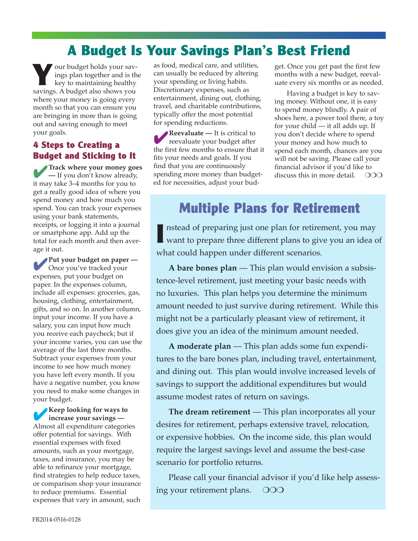## **A Budget Is Your Savings Plan's Best Friend**

**Y**our budget holds your savings plan together and is the key to maintaining healthy savings. A budget also shows you where your money is going every month so that you can ensure you are bringing in more than is going out and saving enough to meet your goals.

#### **4 Steps to Creating a Budget and Sticking to It**

4**Track where your money goes —** If you don't know already, it may take 3–4 months for you to get a really good idea of where you spend money and how much you spend. You can track your expenses using your bank statements, receipts, or logging it into a journal or smartphone app. Add up the total for each month and then average it out.

4**Put your budget on paper —** Once you've tracked your expenses, put your budget on paper. In the expenses column, include all expenses: groceries, gas, housing, clothing, entertainment, gifts, and so on. In another column, input your income. If you have a salary, you can input how much you receive each paycheck; but if your income varies, you can use the average of the last three months. Subtract your expenses from your income to see how much money you have left every month. If you have a negative number, you know you need to make some changes in your budget.

4**Keep looking for ways to increase your savings —** Almost all expenditure categories offer potential for savings. With essential expenses with fixed amounts, such as your mortgage, taxes, and insurance, you may be able to refinance your mortgage, find strategies to help reduce taxes, or comparison shop your insurance to reduce premiums. Essential expenses that vary in amount, such

as food, medical care, and utilities, can usually be reduced by altering your spending or living habits. Discretionary expenses, such as entertainment, dining out, clothing, travel, and charitable contributions, typically offer the most potential for spending reductions.

4**Reevaluate —** It is critical to reevaluate your budget after the first few months to ensure that it fits your needs and goals. If you find that you are continuously spending more money than budgeted for necessities, adjust your budget. Once you get past the first few months with a new budget, reevaluate every six months or as needed.

Having a budget is key to saving money. Without one, it is easy to spend money blindly. A pair of shoes here, a power tool there, a toy for your child — it all adds up. If you don't decide where to spend your money and how much to spend each month, chances are you will not be saving. Please call your financial advisor if you'd like to discuss this in more detail.  $\circ$  OOO

## **Multiple Plans for Retirement**

**I** nstead of preparing just one plan for retirement, you may want to prepare three different plans to give you an idea of what could happen under different scenarios.

**A bare bones plan** — This plan would envision a subsistence-level retirement, just meeting your basic needs with no luxuries. This plan helps you determine the minimum amount needed to just survive during retirement. While this might not be a particularly pleasant view of retirement, it does give you an idea of the minimum amount needed.

**A moderate plan** — This plan adds some fun expenditures to the bare bones plan, including travel, entertainment, and dining out. This plan would involve increased levels of savings to support the additional expenditures but would assume modest rates of return on savings.

**The dream retirement** — This plan incorporates all your desires for retirement, perhaps extensive travel, relocation, or expensive hobbies. On the income side, this plan would require the largest savings level and assume the best-case scenario for portfolio returns.

Please call your financial advisor if you'd like help assessing your retirement plans.  $\circ$  000